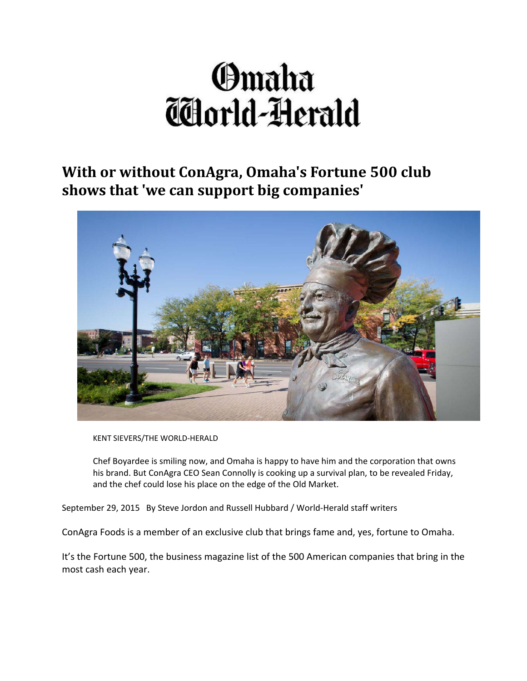# Omaha Thorld-Herald

**With or without ConAgra, Omaha's Fortune 500 club shows that 'we can support big companies'** 



KENT SIEVERS/THE WORLD‐HERALD

Chef Boyardee is smiling now, and Omaha is happy to have him and the corporation that owns his brand. But ConAgra CEO Sean Connolly is cooking up a survival plan, to be revealed Friday, and the chef could lose his place on the edge of the Old Market.

September 29, 2015 By Steve Jordon and Russell Hubbard / World-Herald staff writers

ConAgra Foods is a member of an exclusive club that brings fame and, yes, fortune to Omaha.

It's the Fortune 500, the business magazine list of the 500 American companies that bring in the most cash each year.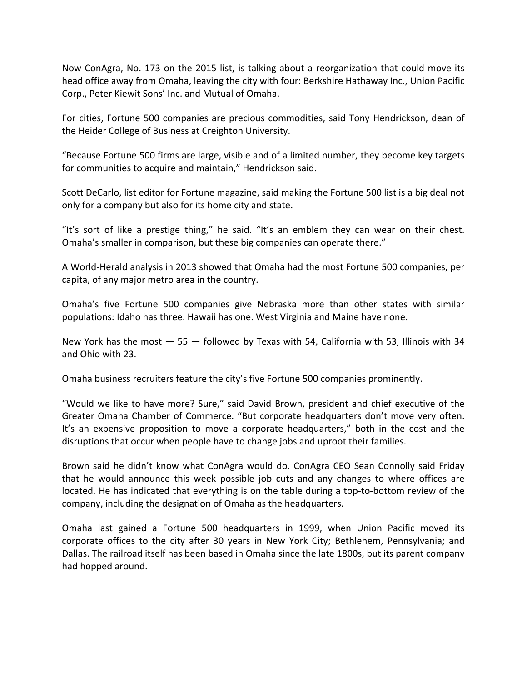Now ConAgra, No. 173 on the 2015 list, is talking about a reorganization that could move its head office away from Omaha, leaving the city with four: Berkshire Hathaway Inc., Union Pacific Corp., Peter Kiewit Sons' Inc. and Mutual of Omaha.

For cities, Fortune 500 companies are precious commodities, said Tony Hendrickson, dean of the Heider College of Business at Creighton University.

"Because Fortune 500 firms are large, visible and of a limited number, they become key targets for communities to acquire and maintain," Hendrickson said.

Scott DeCarlo, list editor for Fortune magazine, said making the Fortune 500 list is a big deal not only for a company but also for its home city and state.

"It's sort of like a prestige thing," he said. "It's an emblem they can wear on their chest. Omaha's smaller in comparison, but these big companies can operate there."

A World‐Herald analysis in 2013 showed that Omaha had the most Fortune 500 companies, per capita, of any major metro area in the country.

Omaha's five Fortune 500 companies give Nebraska more than other states with similar populations: Idaho has three. Hawaii has one. West Virginia and Maine have none.

New York has the most — 55 — followed by Texas with 54, California with 53, Illinois with 34 and Ohio with 23.

Omaha business recruiters feature the city's five Fortune 500 companies prominently.

"Would we like to have more? Sure," said David Brown, president and chief executive of the Greater Omaha Chamber of Commerce. "But corporate headquarters don't move very often. It's an expensive proposition to move a corporate headquarters," both in the cost and the disruptions that occur when people have to change jobs and uproot their families.

Brown said he didn't know what ConAgra would do. ConAgra CEO Sean Connolly said Friday that he would announce this week possible job cuts and any changes to where offices are located. He has indicated that everything is on the table during a top‐to‐bottom review of the company, including the designation of Omaha as the headquarters.

Omaha last gained a Fortune 500 headquarters in 1999, when Union Pacific moved its corporate offices to the city after 30 years in New York City; Bethlehem, Pennsylvania; and Dallas. The railroad itself has been based in Omaha since the late 1800s, but its parent company had hopped around.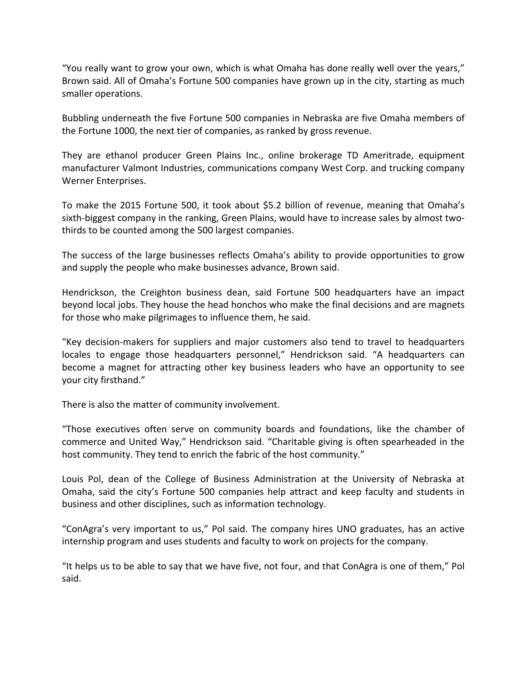"You really want to grow your own, which is what Omaha has done really well over the years," Brown said. All of Omaha's Fortune 500 companies have grown up in the city, starting as much smaller operations.

Bubbling underneath the five Fortune 500 companies in Nebraska are five Omaha members of the Fortune 1000, the next tier of companies, as ranked by gross revenue.

They are ethanol producer Green Plains Inc., online brokerage TD Ameritrade, equipment manufacturer Valmont Industries, communications company West Corp. and trucking company Werner Enterprises.

To make the 2015 Fortune 500, it took about \$5.2 billion of revenue, meaning that Omaha's sixth-biggest company in the ranking, Green Plains, would have to increase sales by almost twothirds to be counted among the 500 largest companies.

The success of the large businesses reflects Omaha's ability to provide opportunities to grow and supply the people who make businesses advance, Brown said.

Hendrickson, the Creighton business dean, said Fortune 500 headquarters have an impact beyond local jobs. They house the head honchos who make the final decisions and are magnets for those who make pilgrimages to influence them, he said.

"Key decision‐makers for suppliers and major customers also tend to travel to headquarters locales to engage those headquarters personnel," Hendrickson said. "A headquarters can become a magnet for attracting other key business leaders who have an opportunity to see your city firsthand."

There is also the matter of community involvement.

"Those executives often serve on community boards and foundations, like the chamber of commerce and United Way," Hendrickson said. "Charitable giving is often spearheaded in the host community. They tend to enrich the fabric of the host community."

Louis Pol, dean of the College of Business Administration at the University of Nebraska at Omaha, said the city's Fortune 500 companies help attract and keep faculty and students in business and other disciplines, such as information technology.

"ConAgra's very important to us," Pol said. The company hires UNO graduates, has an active internship program and uses students and faculty to work on projects for the company.

"It helps us to be able to say that we have five, not four, and that ConAgra is one of them," Pol said.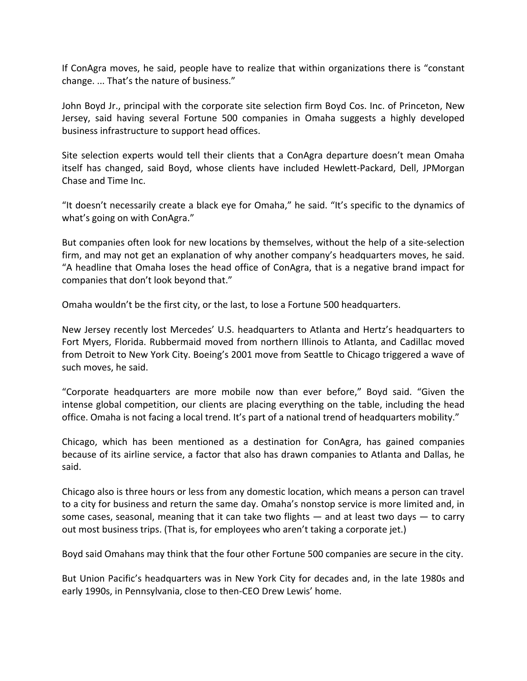If ConAgra moves, he said, people have to realize that within organizations there is "constant change. ... That's the nature of business."

John Boyd Jr., principal with the corporate site selection firm Boyd Cos. Inc. of Princeton, New Jersey, said having several Fortune 500 companies in Omaha suggests a highly developed business infrastructure to support head offices.

Site selection experts would tell their clients that a ConAgra departure doesn't mean Omaha itself has changed, said Boyd, whose clients have included Hewlett‐Packard, Dell, JPMorgan Chase and Time Inc.

"It doesn't necessarily create a black eye for Omaha," he said. "It's specific to the dynamics of what's going on with ConAgra."

But companies often look for new locations by themselves, without the help of a site-selection firm, and may not get an explanation of why another company's headquarters moves, he said. "A headline that Omaha loses the head office of ConAgra, that is a negative brand impact for companies that don't look beyond that."

Omaha wouldn't be the first city, or the last, to lose a Fortune 500 headquarters.

New Jersey recently lost Mercedes' U.S. headquarters to Atlanta and Hertz's headquarters to Fort Myers, Florida. Rubbermaid moved from northern Illinois to Atlanta, and Cadillac moved from Detroit to New York City. Boeing's 2001 move from Seattle to Chicago triggered a wave of such moves, he said.

"Corporate headquarters are more mobile now than ever before," Boyd said. "Given the intense global competition, our clients are placing everything on the table, including the head office. Omaha is not facing a local trend. It's part of a national trend of headquarters mobility."

Chicago, which has been mentioned as a destination for ConAgra, has gained companies because of its airline service, a factor that also has drawn companies to Atlanta and Dallas, he said.

Chicago also is three hours or less from any domestic location, which means a person can travel to a city for business and return the same day. Omaha's nonstop service is more limited and, in some cases, seasonal, meaning that it can take two flights — and at least two days — to carry out most business trips. (That is, for employees who aren't taking a corporate jet.)

Boyd said Omahans may think that the four other Fortune 500 companies are secure in the city.

But Union Pacific's headquarters was in New York City for decades and, in the late 1980s and early 1990s, in Pennsylvania, close to then‐CEO Drew Lewis' home.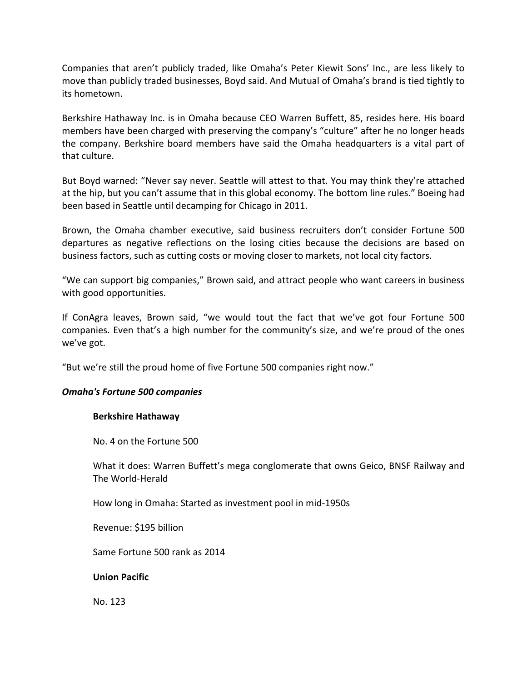Companies that aren't publicly traded, like Omaha's Peter Kiewit Sons' Inc., are less likely to move than publicly traded businesses, Boyd said. And Mutual of Omaha's brand is tied tightly to its hometown.

Berkshire Hathaway Inc. is in Omaha because CEO Warren Buffett, 85, resides here. His board members have been charged with preserving the company's "culture" after he no longer heads the company. Berkshire board members have said the Omaha headquarters is a vital part of that culture.

But Boyd warned: "Never say never. Seattle will attest to that. You may think they're attached at the hip, but you can't assume that in this global economy. The bottom line rules." Boeing had been based in Seattle until decamping for Chicago in 2011.

Brown, the Omaha chamber executive, said business recruiters don't consider Fortune 500 departures as negative reflections on the losing cities because the decisions are based on business factors, such as cutting costs or moving closer to markets, not local city factors.

"We can support big companies," Brown said, and attract people who want careers in business with good opportunities.

If ConAgra leaves, Brown said, "we would tout the fact that we've got four Fortune 500 companies. Even that's a high number for the community's size, and we're proud of the ones we've got.

"But we're still the proud home of five Fortune 500 companies right now."

# *Omaha's Fortune 500 companies*

# **Berkshire Hathaway**

No. 4 on the Fortune 500

What it does: Warren Buffett's mega conglomerate that owns Geico, BNSF Railway and The World‐Herald

How long in Omaha: Started as investment pool in mid‐1950s

Revenue: \$195 billion

Same Fortune 500 rank as 2014

# **Union Pacific**

No. 123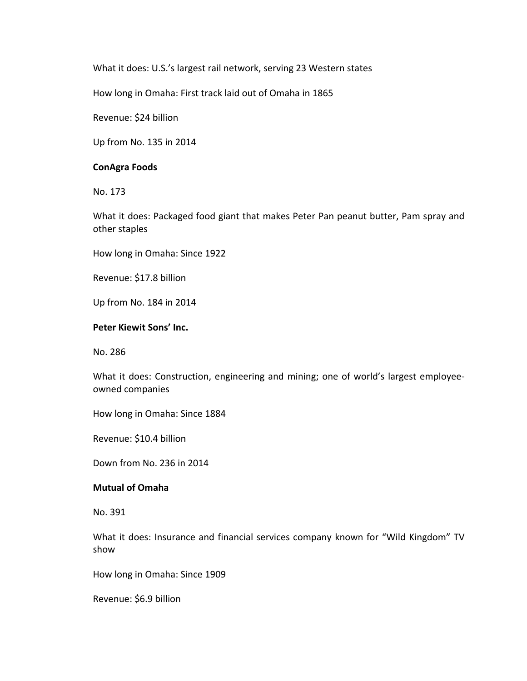What it does: U.S.'s largest rail network, serving 23 Western states

How long in Omaha: First track laid out of Omaha in 1865

Revenue: \$24 billion

Up from No. 135 in 2014

#### **ConAgra Foods**

No. 173

What it does: Packaged food giant that makes Peter Pan peanut butter, Pam spray and other staples

How long in Omaha: Since 1922

Revenue: \$17.8 billion

Up from No. 184 in 2014

## **Peter Kiewit Sons' Inc.**

No. 286

What it does: Construction, engineering and mining; one of world's largest employeeowned companies

How long in Omaha: Since 1884

Revenue: \$10.4 billion

Down from No. 236 in 2014

# **Mutual of Omaha**

No. 391

What it does: Insurance and financial services company known for "Wild Kingdom" TV show

How long in Omaha: Since 1909

Revenue: \$6.9 billion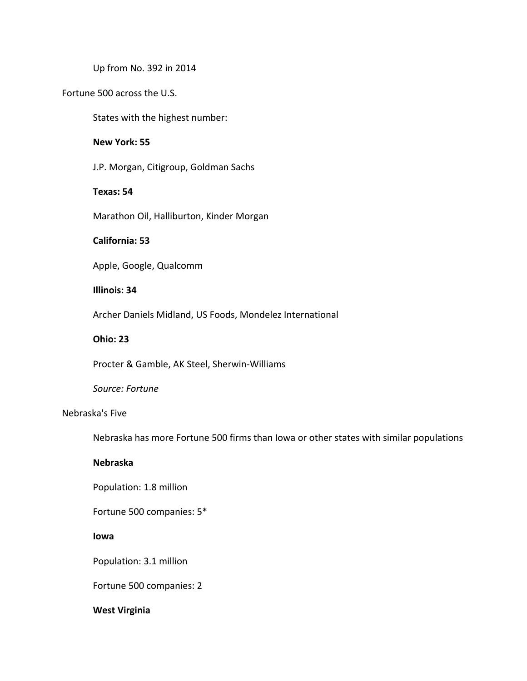Up from No. 392 in 2014

## Fortune 500 across the U.S.

States with the highest number:

## **New York: 55**

J.P. Morgan, Citigroup, Goldman Sachs

## **Texas: 54**

Marathon Oil, Halliburton, Kinder Morgan

# **California: 53**

Apple, Google, Qualcomm

# **Illinois: 34**

Archer Daniels Midland, US Foods, Mondelez International

#### **Ohio: 23**

Procter & Gamble, AK Steel, Sherwin‐Williams

#### *Source: Fortune*

# Nebraska's Five

Nebraska has more Fortune 500 firms than Iowa or other states with similar populations

# **Nebraska**

Population: 1.8 million

Fortune 500 companies: 5\*

#### **Iowa**

Population: 3.1 million

Fortune 500 companies: 2

#### **West Virginia**